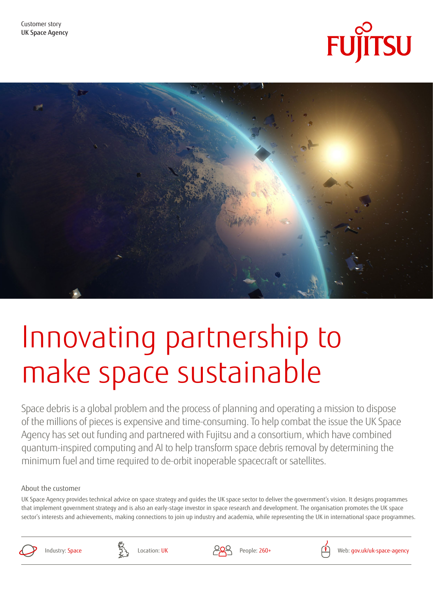



# Innovating partnership to make space sustainable

Space debris is a global problem and the process of planning and operating a mission to dispose of the millions of pieces is expensive and time-consuming. To help combat the issue the UK Space Agency has set out funding and partnered with Fujitsu and a consortium, which have combined quantum-inspired computing and AI to help transform space debris removal by determining the minimum fuel and time required to de-orbit inoperable spacecraft or satellites.

#### About the customer

UK Space Agency provides technical advice on space strategy and guides the UK space sector to deliver the government's vision. It designs programmes that implement government strategy and is also an early-stage investor in space research and development. The organisation promotes the UK space sector's interests and achievements, making connections to join up industry and academia, while representing the UK in international space programmes.





Location: UK